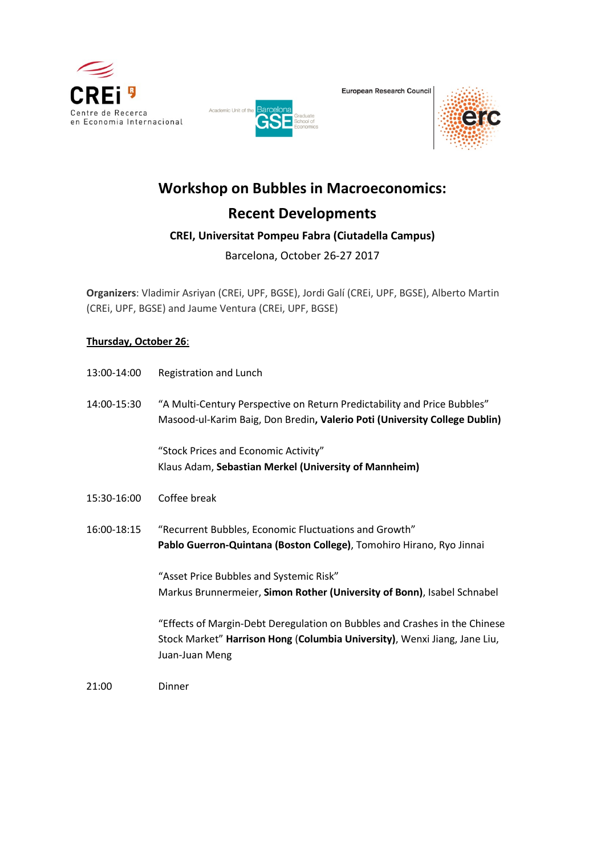





# **Workshop on Bubbles in Macroeconomics:**

# **Recent Developments**

## **CREI, Universitat Pompeu Fabra (Ciutadella Campus)**

Barcelona, October 26-27 2017

**Organizers**: Vladimir Asriyan (CREi, UPF, BGSE), Jordi Galí (CREi, UPF, BGSE), Alberto Martin (CREi, UPF, BGSE) and Jaume Ventura (CREi, UPF, BGSE)

### **Thursday, October 26**:

| 13:00-14:00 | Registration and Lunch                                                                                                                                                    |
|-------------|---------------------------------------------------------------------------------------------------------------------------------------------------------------------------|
| 14:00-15:30 | "A Multi-Century Perspective on Return Predictability and Price Bubbles"<br>Masood-ul-Karim Baig, Don Bredin, Valerio Poti (University College Dublin)                    |
|             | "Stock Prices and Economic Activity"<br>Klaus Adam, Sebastian Merkel (University of Mannheim)                                                                             |
| 15:30-16:00 | Coffee break                                                                                                                                                              |
| 16:00-18:15 | "Recurrent Bubbles, Economic Fluctuations and Growth"<br>Pablo Guerron-Quintana (Boston College), Tomohiro Hirano, Ryo Jinnai                                             |
|             | "Asset Price Bubbles and Systemic Risk"<br>Markus Brunnermeier, Simon Rother (University of Bonn), Isabel Schnabel                                                        |
|             | "Effects of Margin-Debt Deregulation on Bubbles and Crashes in the Chinese<br>Stock Market" Harrison Hong (Columbia University), Wenxi Jiang, Jane Liu,<br>Juan-Juan Meng |
| 21:00       | Dinner                                                                                                                                                                    |